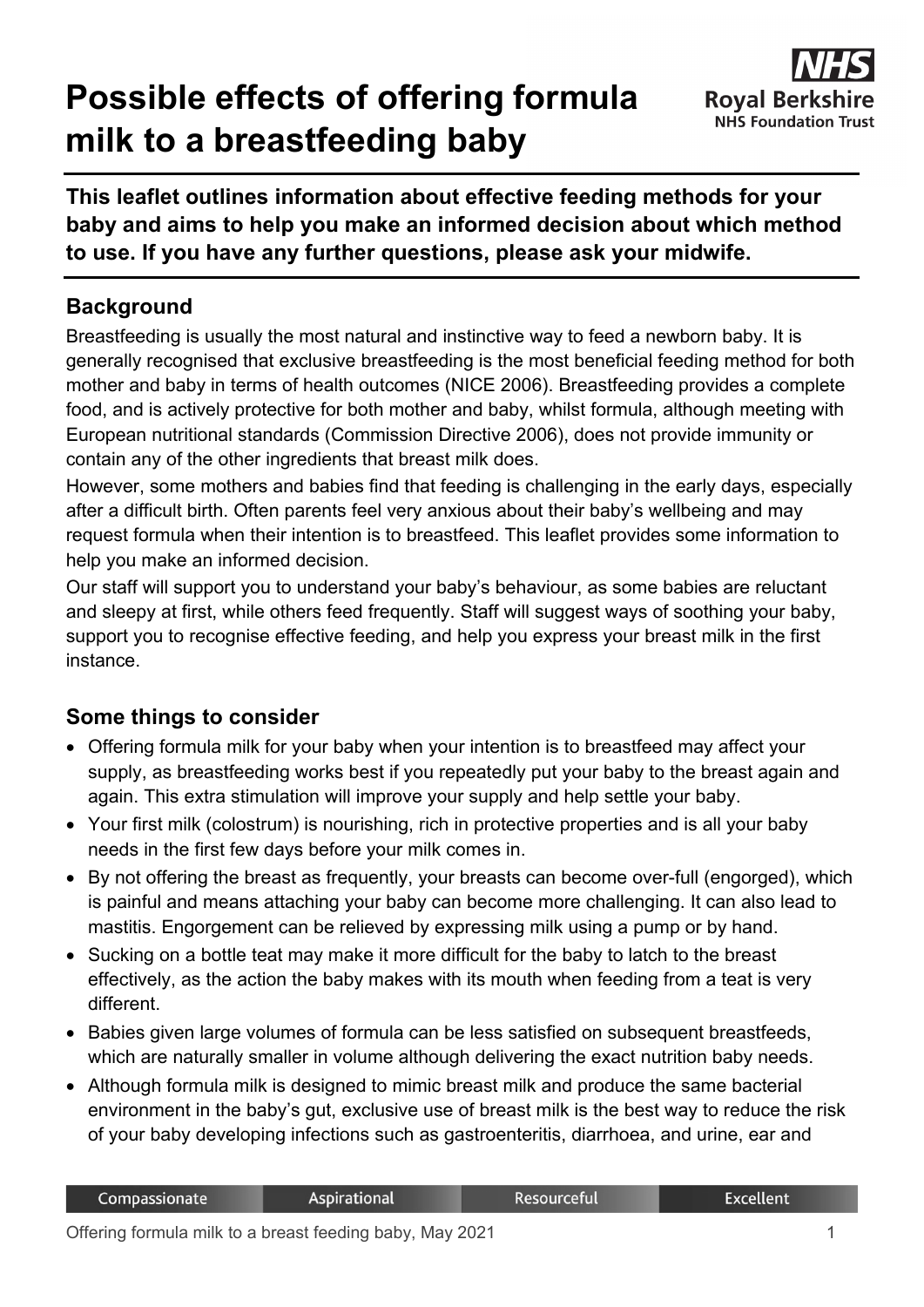# **Possible effects of offering formula milk to a breastfeeding baby**



**This leaflet outlines information about effective feeding methods for your baby and aims to help you make an informed decision about which method to use. If you have any further questions, please ask your midwife.**

## **Background**

Breastfeeding is usually the most natural and instinctive way to feed a newborn baby. It is generally recognised that exclusive breastfeeding is the most beneficial feeding method for both mother and baby in terms of health outcomes (NICE 2006). Breastfeeding provides a complete food, and is actively protective for both mother and baby, whilst formula, although meeting with European nutritional standards (Commission Directive 2006), does not provide immunity or contain any of the other ingredients that breast milk does.

However, some mothers and babies find that feeding is challenging in the early days, especially after a difficult birth. Often parents feel very anxious about their baby's wellbeing and may request formula when their intention is to breastfeed. This leaflet provides some information to help you make an informed decision.

Our staff will support you to understand your baby's behaviour, as some babies are reluctant and sleepy at first, while others feed frequently. Staff will suggest ways of soothing your baby, support you to recognise effective feeding, and help you express your breast milk in the first instance.

#### **Some things to consider**

- Offering formula milk for your baby when your intention is to breastfeed may affect your supply, as breastfeeding works best if you repeatedly put your baby to the breast again and again. This extra stimulation will improve your supply and help settle your baby.
- Your first milk (colostrum) is nourishing, rich in protective properties and is all your baby needs in the first few days before your milk comes in.
- By not offering the breast as frequently, your breasts can become over-full (engorged), which is painful and means attaching your baby can become more challenging. It can also lead to mastitis. Engorgement can be relieved by expressing milk using a pump or by hand.
- Sucking on a bottle teat may make it more difficult for the baby to latch to the breast effectively, as the action the baby makes with its mouth when feeding from a teat is very different.
- Babies given large volumes of formula can be less satisfied on subsequent breastfeeds, which are naturally smaller in volume although delivering the exact nutrition baby needs.
- Although formula milk is designed to mimic breast milk and produce the same bacterial environment in the baby's gut, exclusive use of breast milk is the best way to reduce the risk of your baby developing infections such as gastroenteritis, diarrhoea, and urine, ear and

Resourceful

**Excellent**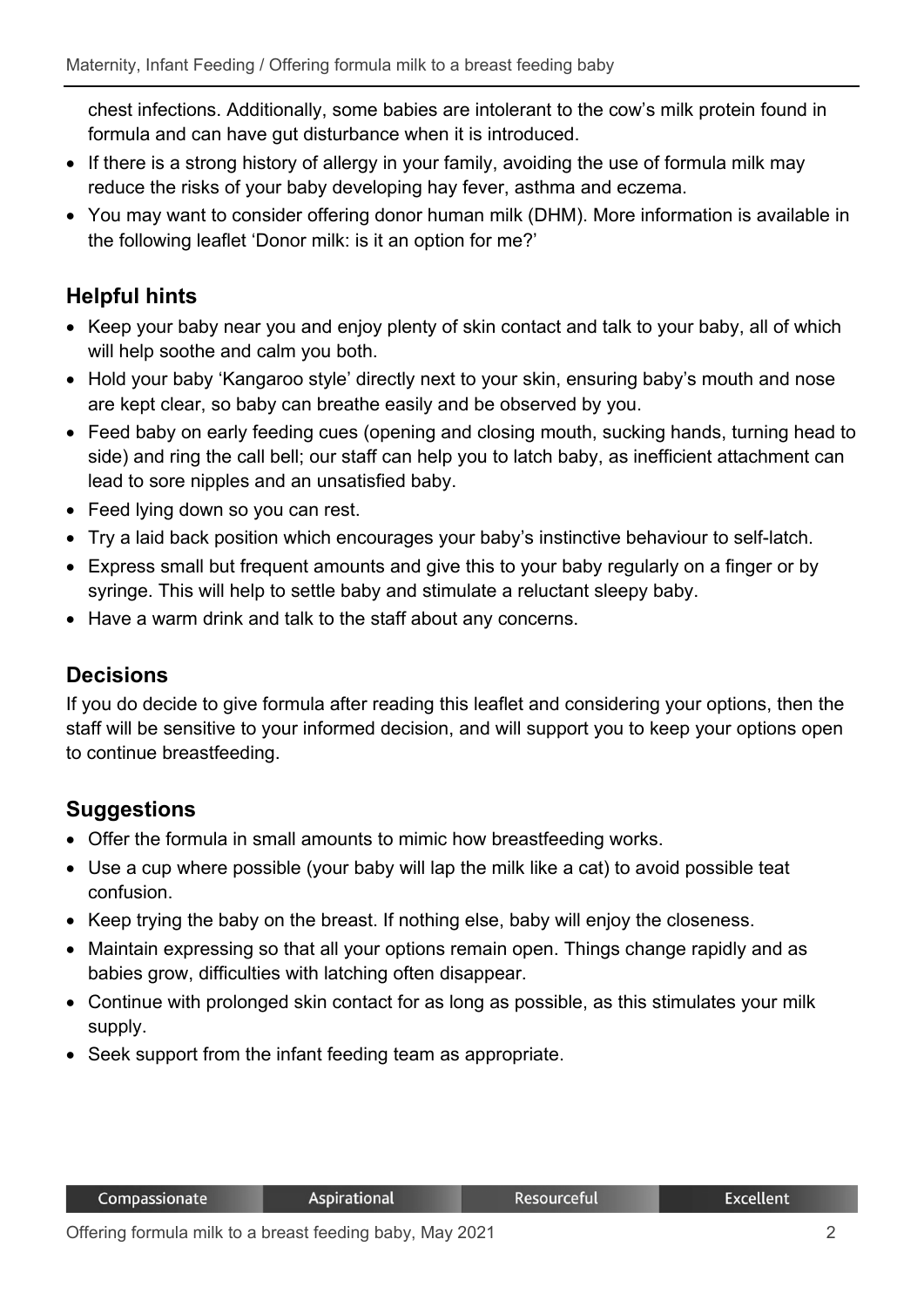chest infections. Additionally, some babies are intolerant to the cow's milk protein found in formula and can have gut disturbance when it is introduced.

- If there is a strong history of allergy in your family, avoiding the use of formula milk may reduce the risks of your baby developing hay fever, asthma and eczema.
- You may want to consider offering donor human milk (DHM). More information is available in the following leaflet 'Donor milk: is it an option for me?'

# **Helpful hints**

- Keep your baby near you and enjoy plenty of skin contact and talk to your baby, all of which will help soothe and calm you both.
- Hold your baby 'Kangaroo style' directly next to your skin, ensuring baby's mouth and nose are kept clear, so baby can breathe easily and be observed by you.
- Feed baby on early feeding cues (opening and closing mouth, sucking hands, turning head to side) and ring the call bell; our staff can help you to latch baby, as inefficient attachment can lead to sore nipples and an unsatisfied baby.
- Feed lying down so you can rest.
- Try a laid back position which encourages your baby's instinctive behaviour to self-latch.
- Express small but frequent amounts and give this to your baby regularly on a finger or by syringe. This will help to settle baby and stimulate a reluctant sleepy baby.
- Have a warm drink and talk to the staff about any concerns.

#### **Decisions**

If you do decide to give formula after reading this leaflet and considering your options, then the staff will be sensitive to your informed decision, and will support you to keep your options open to continue breastfeeding.

## **Suggestions**

- Offer the formula in small amounts to mimic how breastfeeding works.
- Use a cup where possible (your baby will lap the milk like a cat) to avoid possible teat confusion.
- Keep trying the baby on the breast. If nothing else, baby will enjoy the closeness.
- Maintain expressing so that all your options remain open. Things change rapidly and as babies grow, difficulties with latching often disappear.
- Continue with prolonged skin contact for as long as possible, as this stimulates your milk supply.
- Seek support from the infant feeding team as appropriate.

Resourceful